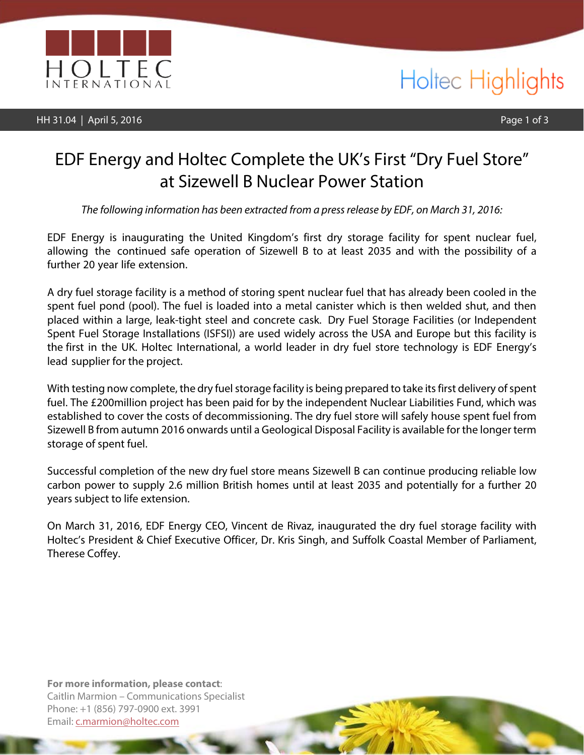

HH 31.04 | April 5, 2016 **Page 1 of 3** 

### Holtec Highlights

### EDF Energy and Holtec Complete the UK's First "Dry Fuel Store" at Sizewell B Nuclear Power Station

*The following information has been extracted from a pressrelease by EDF, on March 31, 2016*:

EDF Energy is inaugurating the United Kingdom's first dry storage facility for spent nuclear fuel, allowing the continued safe operation of Sizewell B to at least 2035 and with the possibility of a further 20 year life extension.

A dry fuel storage facility is a method of storing spent nuclear fuel that has already been cooled in the spent fuel pond (pool). The fuel is loaded into a metal canister which is then welded shut, and then placed within a large, leak-tight steel and concrete cask. Dry Fuel Storage Facilities (or Independent Spent Fuel Storage Installations (ISFSI)) are used widely across the USA and Europe but this facility is the first in the UK. Holtec International, a world leader in dry fuel store technology is EDF Energy's lead supplier for the project.

With testing now complete, the dry fuel storage facility is being prepared to take its first delivery of spent fuel. The £200million project has been paid for by the independent Nuclear Liabilities Fund, which was established to cover the costs of decommissioning. The dry fuel store will safely house spent fuel from Sizewell B from autumn 2016 onwards until a Geological Disposal Facility is available for the longer term storage of spent fuel.

Successful completion of the new dry fuel store means Sizewell B can continue producing reliable low carbon power to supply 2.6 million British homes until at least 2035 and potentially for a further 20 years subject to life extension.

On March 31, 2016, EDF Energy CEO, Vincent de Rivaz, inaugurated the dry fuel storage facility with Holtec's President & Chief Executive Officer, Dr. Kris Singh, and Suffolk Coastal Member of Parliament, Therese Coffey.

**For more information, please contact**: Caitlin Marmion – Communications Specialist Phone: +1 (856) 797-0900 ext. 3991 Email: [c.marmion@holtec.com](mailto:c.marmion@holtec.com)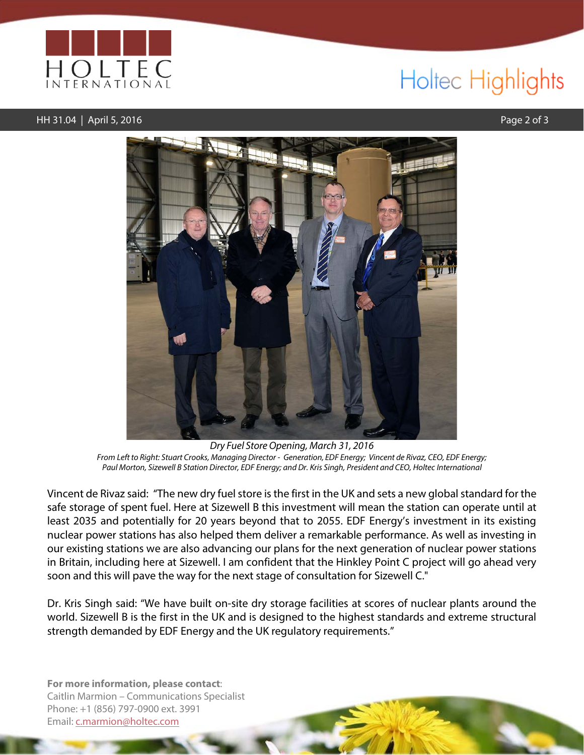

# Holtec Highlights

#### HH 31.04 | April 5, 2016 Page 2 of 3



*Dry Fuel Store Opening, Ma*rch *31, 2016 From Left to Right: Stuart Crooks, Managing Director - Generation, EDF Energy; Vincent de Rivaz, CEO, EDF Energy; Paul Morton, Sizewell B Station Director, EDF Energy; and Dr. Kris Singh, President and CEO, Holtec International*

Vincent de Rivaz said: "The new dry fuel store is the first in the UK and sets a new global standard for the safe storage of spent fuel. Here at Sizewell B this investment will mean the station can operate until at least 2035 and potentially for 20 years beyond that to 2055. EDF Energy's investment in its existing nuclear power stations has also helped them deliver a remarkable performance. As well as investing in our existing stations we are also advancing our plans for the next generation of nuclear power stations in Britain, including here at Sizewell. I am confident that the Hinkley Point C project will go ahead very soon and this will pave the way for the next stage of consultation for Sizewell C."

Dr. Kris Singh said: "We have built on-site dry storage facilities at scores of nuclear plants around the world. Sizewell B is the first in the UK and is designed to the highest standards and extreme structural strength demanded by EDF Energy and the UK regulatory requirements."

**For more information, please contact**: Caitlin Marmion – Communications Specialist Phone: +1 (856) 797-0900 ext. 3991 Email: [c.marmion@holtec.com](mailto:c.marmion@holtec.com)